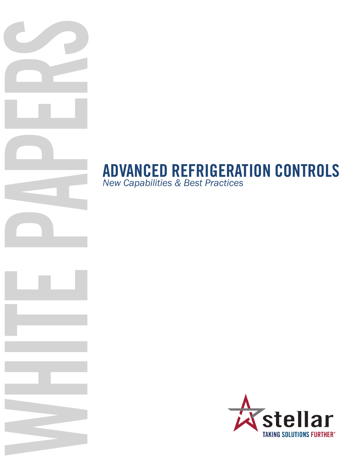# *New Capabilities & Best Practices*

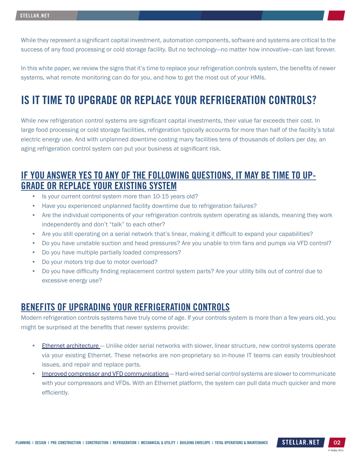While they represent a significant capital investment, automation components, software and systems are critical to the success of any food processing or cold storage facility. But no technology—no matter how innovative—can last forever.

In this white paper, we review the signs that it's time to replace your refrigeration controls system, the benefits of newer systems, what remote monitoring can do for you, and how to get the most out of your HMIs.

# IS IT TIME TO UPGRADE OR REPLACE YOUR REFRIGERATION CONTROLS?

While new refrigeration control systems are significant capital investments, their value far exceeds their cost. In large food processing or cold storage facilities, refrigeration typically accounts for more than half of the facility's total electric energy use. And with unplanned downtime costing many facilities tens of thousands of dollars per day, an aging refrigeration control system can put your business at significant risk.

## IF YOU ANSWER YES TO ANY OF THE FOLLOWING QUESTIONS, IT MAY BE TIME TO UP-GRADE OR REPLACE YOUR EXISTING SYSTEM

- Is your current control system more than 10-15 years old?
- Have you experienced unplanned facility downtime due to refrigeration failures?
- Are the individual components of your refrigeration controls system operating as islands, meaning they work independently and don't "talk" to each other?
- Are you still operating on a serial network that's linear, making it difficult to expand your capabilities?
- Do you have unstable suction and head pressures? Are you unable to trim fans and pumps via VFD control?
- Do you have multiple partially loaded compressors?
- Do your motors trip due to motor overload?
- Do you have difficulty finding replacement control system parts? Are your utility bills out of control due to excessive energy use?

#### BENEFITS OF UPGRADING YOUR REFRIGERATION CONTROLS

Modern refrigeration controls systems have truly come of age. If your controls system is more than a few years old, you might be surprised at the benefits that newer systems provide:

- Ethernet architecture Unlike older serial networks with slower, linear structure, new control systems operate via your existing Ethernet. These networks are non-proprietary so in-house IT teams can easily troubleshoot issues, and repair and replace parts.
- Improved compressor and VFD communications Hard-wired serial control systems are slower to communicate with your compressors and VFDs. With an Ethernet platform, the system can pull data much quicker and more efficiently.

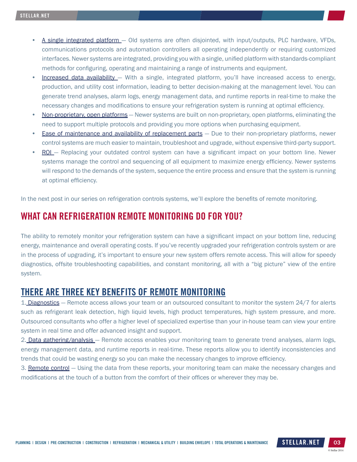- A single integrated platform Old systems are often disjointed, with input/outputs, PLC hardware, VFDs, communications protocols and automation controllers all operating independently or requiring customized interfaces. Newer systems are integrated, providing you with a single, unified platform with standards-compliant methods for configuring, operating and maintaining a range of instruments and equipment.
- Increased data availability With a single, integrated platform, you'll have increased access to energy, production, and utility cost information, leading to better decision-making at the management level. You can generate trend analyses, alarm logs, energy management data, and runtime reports in real-time to make the necessary changes and modifications to ensure your refrigeration system is running at optimal efficiency.
- Non-proprietary, open platforms Newer systems are built on non-proprietary, open platforms, eliminating the need to support multiple protocols and providing you more options when purchasing equipment.
- **Ease of maintenance and availability of replacement parts** Due to their non-proprietary platforms, newer control systems are much easier to maintain, troubleshoot and upgrade, without expensive third-party support.
- ROI Replacing your outdated control system can have a significant impact on your bottom line. Newer systems manage the control and sequencing of all equipment to maximize energy efficiency. Newer systems will respond to the demands of the system, sequence the entire process and ensure that the system is running at optimal efficiency.

In the next post in our series on refrigeration controls systems, we'll explore the benefits of remote monitoring.

# WHAT CAN REFRIGERATION REMOTE MONITORING DO FOR YOU?

The ability to remotely monitor your refrigeration system can have a significant impact on your bottom line, reducing energy, maintenance and overall operating costs. If you've recently upgraded your refrigeration controls system or are in the process of upgrading, it's important to ensure your new system offers remote access. This will allow for speedy diagnostics, offsite troubleshooting capabilities, and constant monitoring, all with a "big picture" view of the entire system.

#### THERE ARE THREE KEY BENEFITS OF REMOTE MONITORING

1. Diagnostics - Remote access allows your team or an outsourced consultant to monitor the system 24/7 for alerts such as refrigerant leak detection, high liquid levels, high product temperatures, high system pressure, and more. Outsourced consultants who offer a higher level of specialized expertise than your in-house team can view your entire system in real time and offer advanced insight and support.

2. Data gathering/analysis - Remote access enables your monitoring team to generate trend analyses, alarm logs, energy management data, and runtime reports in real-time. These reports allow you to identify inconsistencies and trends that could be wasting energy so you can make the necessary changes to improve efficiency.

3. Remote control – Using the data from these reports, your monitoring team can make the necessary changes and modifications at the touch of a button from the comfort of their offices or wherever they may be.